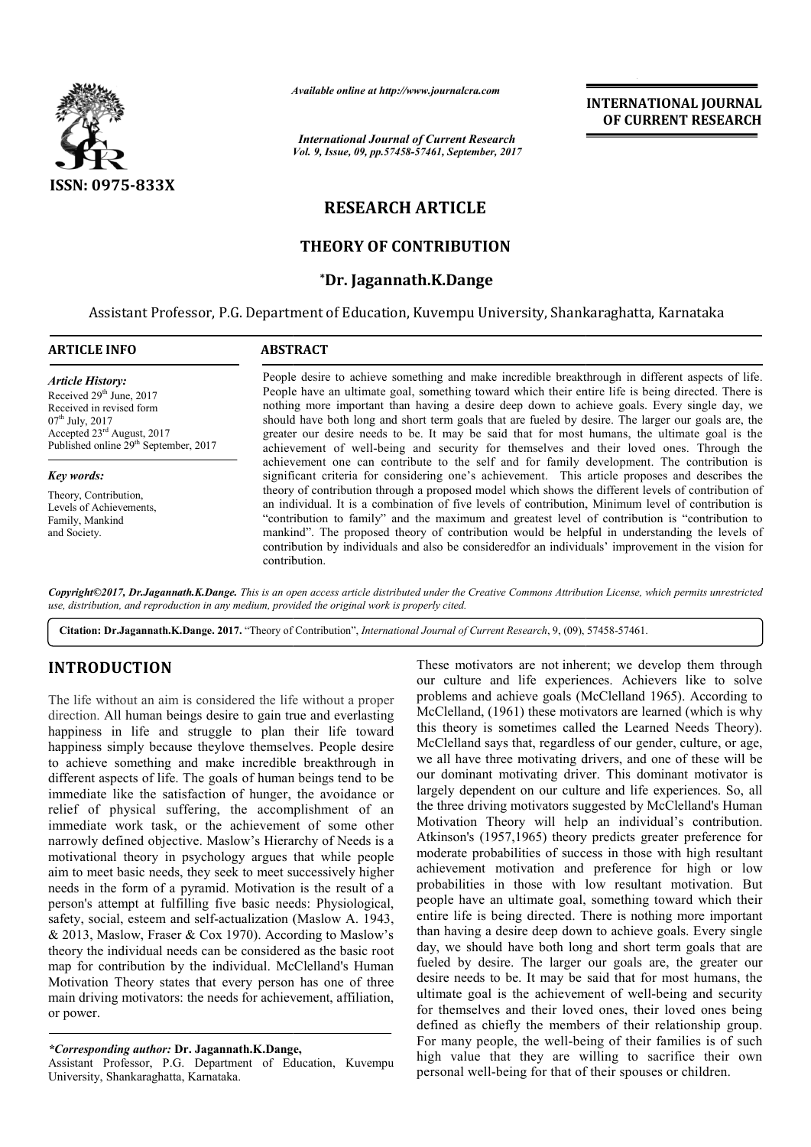

*Available online at http://www.journal http://www.journalcra.com*

*Vol. 9, Issue, 09, pp.57458-57461, September, 2017 International Journal of Current Research*

## **INTERNATIONAL JOURNAL OF CURRENT RESEARCH**

# **RESEARCH ARTICLE**

## **THEORY OF CONTRIBUTION**

## **\*Dr. Jagannath.K.Dange**

Assistant Professor, P.G. Department of Education, Kuvempu University, Shankaraghatta, Karnataka

## **ARTICLE INFO ABSTRACT**

*Article History:* Received 29<sup>th</sup> June, 2017 Received in revised form 07th July, 2017 Accepted 23rd August, 2017 Published online 29<sup>th</sup> September, 2017

### *Key words:*

Theory, Contribution, Levels of Achievements, Family, Mankind and Society.

People desire to achieve something and make incredible breakthrough in different aspects of life. People desire to achieve something and make incredible breakthrough in different aspects of life.<br>People have an ultimate goal, something toward which their entire life is being directed. There is nothing more important than having a desire deep down to achieve goals. Every single day, we should have both long and short term goals that are fueled by desire. The larger our goals are, the greater our desire needs to be. It may be said that for most humans, the ultimate goal is the achievement of well-being and security for themselves and their loved ones. Through the achievement one can contribute to the self and for family development. The contribution is significant criteria for considering one's achievement. This article proposes and describes the theory of contribution through a proposed model which shows the different levels of contribution of an individual. It is a combination of five levels of contribution, Minimum level of contribution is "contribution to family" and the maximum and greatest level of mankind". The proposed theory of contribution would be helpful in understanding the levels of mankind". The proposed theory of contribution would be helpful in understanding the levels of contribution by individuals and also be considered for an individuals' improvement in the vision for contribution. more important than having a desire deep down to achieve goals. Every single day, we have both long and short term goals that are fueled by desire. The larger our goals are, the our desire needs to be. It may be said that

*Copyright©2017, Dr.Jagannath.K.Dange. This is an open access article distributed under the Creative Commons Att Attribution License, which ribution permits unrestricted use, distribution, and reproduction in any medium, provided the original work is properly cited.*

Citation: Dr.Jagannath.K.Dange. 2017. "Theory of Contribution", *International Journal of Current Research*, 9, (09), 57458-57461.

# **INTRODUCTION**

The life without an aim is considered the life without a proper direction. All human beings desire to gain true and everlasting happiness in life and struggle to plan their life toward happiness simply because theylove themselves. People desire to achieve something and make incredible breakthrough in different aspects of life. The goals of human beings tend to be immediate like the satisfaction of hunger, the avoidance or relief of physical suffering, the accomplishment of an immediate work task, or the achievement of some other narrowly defined objective. Maslow's Hierarchy of Needs is a motivational theory in psychology argues that while people aim to meet basic needs, they seek to meet successively higher needs in the form of a pyramid. Motivation is the result of a person's attempt at fulfilling five basic needs: Physiological, safety, social, esteem and self-actualization (Maslow A. 1943, & 2013, Maslow, Fraser & Cox 1970). According to Maslow's theory the individual needs can be considered as the basic root map for contribution by the individual. McClelland's Hu Motivation Theory states that every person has one of three main driving motivators: the needs for achievement, affiliation, or power. ccording to Maslow's<br>lered as the basic root<br>McClelland's Human

Assistant Professor, P.G. Department of Education, Kuvempu University, Shankaraghatta, Karnataka.

These motivators are not inherent; we develop them through our culture and life experiences. Achievers like to solve problems and achieve goals (McClelland 1965). According to our culture and life experiences. Achievers like to solve problems and achieve goals (McClelland 1965). According to McClelland, (1961) these motivators are learned (which is why this theory is sometimes called the Learned Needs Theory). McClelland says that, regardless of our gender, culture, or age, we all have three motivating drivers, and one of these will be our dominant motivating driver. This dominant motivator is largely dependent on our culture and life experiences. So, all largely dependent on our culture and life experiences. So, all the three driving motivators suggested by McClelland's Human Motivation Theory will help an individual's contribution. Motivation Theory will help an individual's contribution.<br>Atkinson's (1957,1965) theory predicts greater preference for moderate probabilities of success in those with high resultant achievement motivation and preference for high or low achievement motivation and preference for high or low<br>probabilities in those with low resultant motivation. But people have an ultimate goal, something toward which their entire life is being directed. There is nothing more important than having a desire deep down to achieve goals. Every single day, we should have both long and short term goals that are fueled by desire. The larger our goals are, the greater our desire needs to be. It may be said that for most humans, the ultimate goal is the achievement of well-being and security for themselves and their loved ones, their loved ones being defined as chiefly the members of their relationship group. defined as chiefly the members of their relationship group.<br>For many people, the well-being of their families is of such high value that they are willing to sacrifice their own personal well-being for that of their spouses or children. Clelland says that, regardless of our gender, culture, or age, all have three motivating drivers, and one of these will be dominant motivating driver. This dominant motivator is than having a desire deep down to achieve goals. Every single day, we should have both long and short term goals that are fueled by desire. The larger our goals are, the greater our desire needs to be. It may be said that **INTERNATIONAL JOUENAL FORMATION (CONTRAIT)**<br> **COLUMBATION CONTRAIT (OF CURRENT RESEARCH**<br> **COLUMBATION**<br> **COLUMBATION**<br> **COLUMBATION**<br> **COLUMBATION**<br> **COLUMBATION**<br> **COLUMBATION**<br> **COLUMBATION**<br> **COLUMBATION**<br> **COLUMBATI** 

*<sup>\*</sup>Corresponding author:* **Dr. Jagannath.K.Dange,**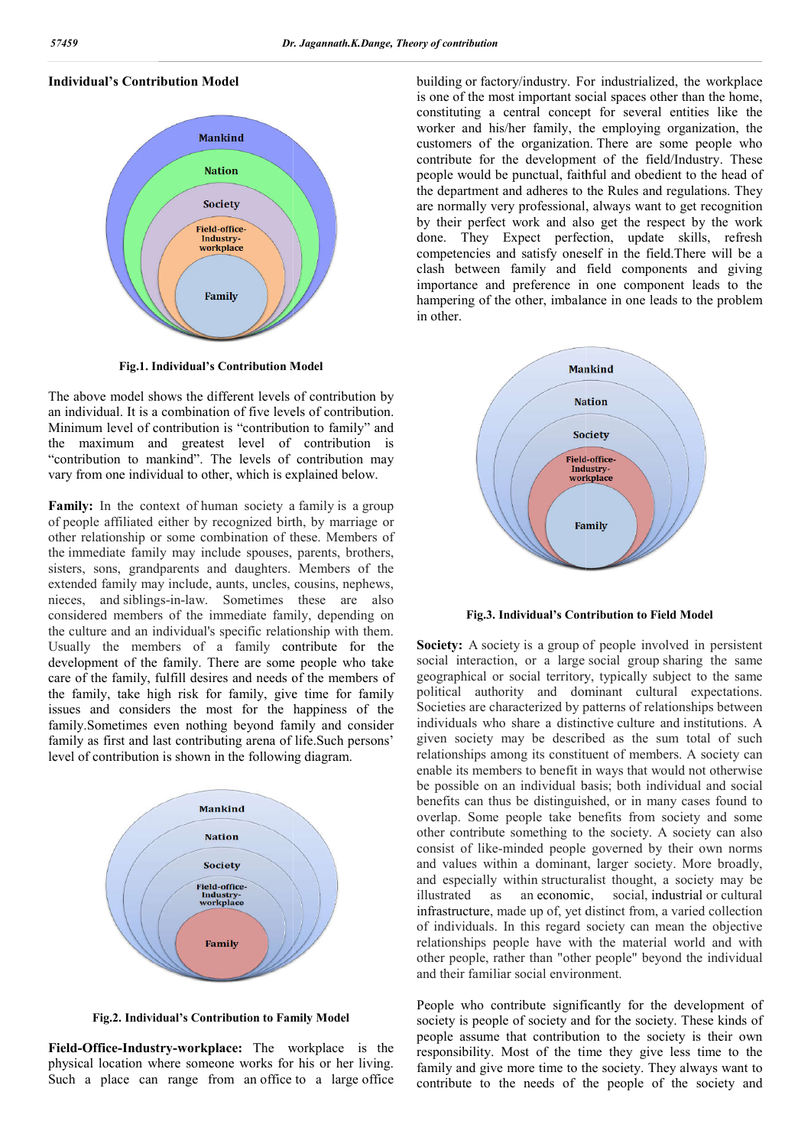## **Individual's Contribution Model**



**Fig.1. Individual's Contribution Model**

The above model shows the different levels of contribution by an individual. It is a combination of five levels of contribution. Minimum level of contribution is "contribution to family" and the maximum and greatest level of contribution is "contribution to mankind". The levels of contribution may vary from one individual to other, which is explained below.

**Family:** In the context of human society a family is a group of people affiliated either by recognized birth, by marriage or other relationship or some combination of these. Members of the immediate family may include spouses, parents, brothers, sisters, sons, grandparents and daughters. Members of the extended family may include, aunts, uncles, cousins, nephews, nieces, and siblings-in-law. Sometimes these are also considered members of the immediate family, depen the culture and an individual's specific relationship with them. Usually the members of a family contribute for the development of the family. There are some people who take care of the family, fulfill desires and needs of the members of the family, take high risk for family, give time for family issues and considers the most for the happiness of the family.Sometimes even nothing beyond family and consider family as first and last contributing arena of life.Such persons' level of contribution is shown in the following diagram. ay include spouses, parents, brothers,<br>the and daughters. Members of the<br>lude, aunts, uncles, cousins, nephews,<br>law. Sometimes these are also<br>the immediate family, depending on



**Fig.2. Individual's Contribution to Family Model**

**Field-Office-Industry-workplace:** The workplace is the physical location where someone works for his or her living. Such a place can range from an office to a large office

building or factory/industry. For industrialized, the workplace is one of the most important social spaces other than the home, constituting a central concept for several entities like the worker and his/her family, the employing organization, the customers of the organization. There are some people who contribute for the development of the field/Industry. These people would be punctual, faithful and obedient to the head of the department and adheres to the Rules and regulations. They are normally very professional, always want to get recognition by their perfect work and also get the respect by the work done. They Expect perfection, update skills, refresh competencies and satisfy oneself in the field.There will be a clash between family and field components and giving importance and preference in one component leads to the hampering of the other, imbalance in one leads to the problem in other. the most important social spaces other than the home, <br>ng a central concept for several entities like the<br>md his/her family, the employing organization, the<br>s of the organization. There are some people who ld be punctual, faithful and obedient to the head of<br>ent and adheres to the Rules and regulations. They<br>y very professional, always want to get recognition<br>rfect work and also get the respect by the work<br>y Expect perfectio



**Fig.3. Individual's Contribution to Field Model** 

**Society:** A society is a group of people involved in persistent **Society:** A society is a group of people involved in persistent social interaction, or a large social group sharing the same geographical or social territory, typically subject to the same political authority and dominant cultural expectations. Societies are characterized by patterns of relationships between Societies are characterized by patterns of relationships between individuals who share a distinctive culture and institutions. A given society may be described as the sum total of such relationships among its constituent of members. A society can enable its members to benefit in ways that would not otherwise be possible on an individual basis; both individual and social benefits can thus be distinguished, or in many cases found to overlap. Some people take benefits from society and some other contribute something to the society. A society can also consist of like-minded people governed by their own norms and values within a dominant, larger society. More broadly, and especially within structuralist thought, a society may be illustrated as an economic infrastructure, made up of, yet distinct from, a varied collection of individuals. In this regard society can mean the objective relationships people have with the material world and with other people, rather than "other people" beyond the individual and their familiar social environment. relationships among its constituent of members. A society can enable its members to benefit in ways that would not otherwise be possible on an individual basis; both individual and social benefits can thus be distinguished rastructure, made up of, yet distinct from, a varied individuals. In this regard society can mean the attionships people have with the material world er people, rather than "other people" beyond the i

People who contribute significantly for the development of People who contribute significantly for the development of society is people of society and for the society. These kinds of people assume that contribution to the society is their own people assume that contribution to the society is their own responsibility. Most of the time they give less time to the family and give more time to the society. They always want to family and give more time to the society. They always want to contribute to the needs of the people of the society and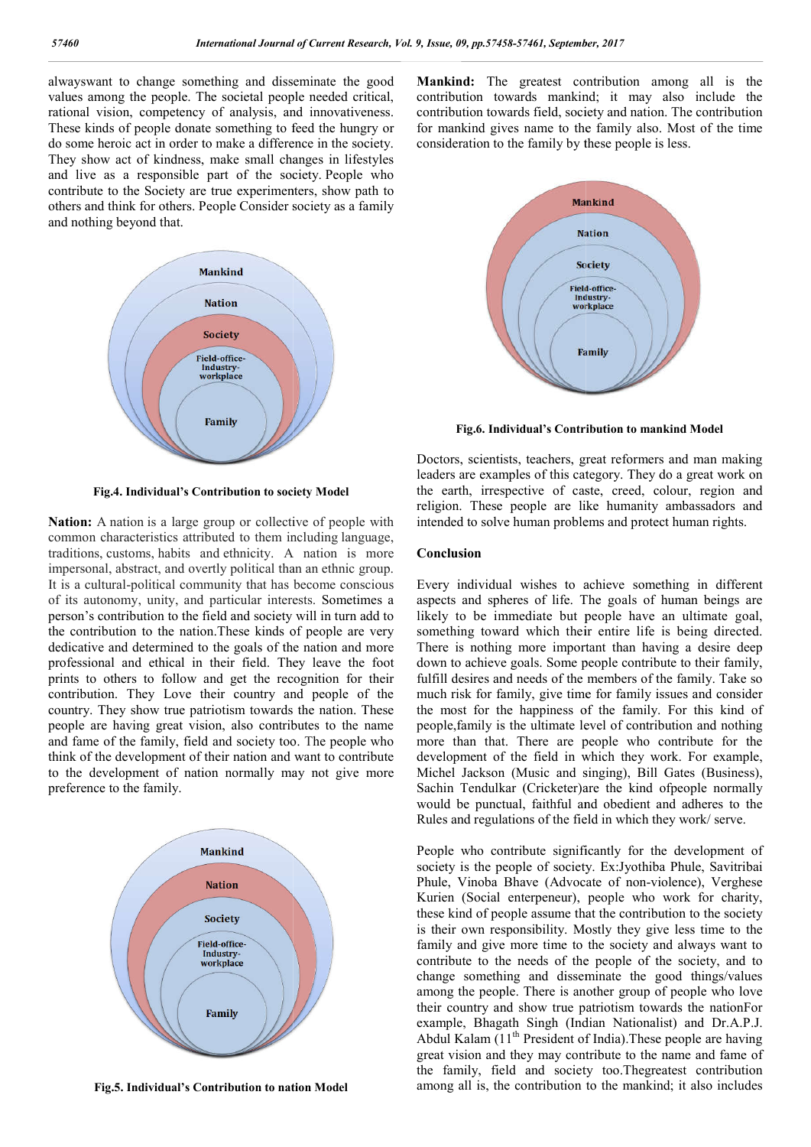alwayswant to change something and disseminate the good values among the people. The societal people needed critical, rational vision, competency of analysis, and innovativeness. These kinds of people donate something to feed the hungry or do some heroic act in order to make a difference in the society. They show act of kindness, make small changes in lifestyles and live as a responsible part of the society. People who contribute to the Society are true experimenters, show path to others and think for others. People Consider society as a family and nothing beyond that.



**Fig.4. Individual's Contribution to society Model**

**Nation:** A nation is a large group or collective of people with common characteristics attributed to them including language, traditions, customs, habits and ethnicity. A nation is more impersonal, abstract, and overtly political than an ethnic group. It is a cultural-political community that has become conscious It is a cultural-political community that has become conscious<br>of its autonomy, unity, and particular interests. Sometimes a person's contribution to the field and society will in turn add to the contribution to the nation.These kinds of people are very dedicative and determined to the goals of the nation and more professional and ethical in their field. They leave the foot prints to others to follow and get the recognition for their contribution. They Love their country and people of the country. They show true patriotism towards the nation. These people are having great vision, also contributes to the name and fame of the family, field and society too. The people who think of the development of their nation and want to contribute to the development of nation normally may not give more preference to the family.



**Fig.5. Individual's Contribution to nation Model**

**Mankind:** The greatest contribution among all is the contribution towards mankind; it may also include the contribution towards field, society and nation. The contribution for mankind gives name to the family also. Most of the time consideration to the family by these people is less. **nkind:** The greatest contribution among all is tribution towards mankind; it may also include tribution towards field, society and nation. The contribution towards field, society and nation. The contribution to the family



**Fig.6. Individual's Contribution to mankind Model**

Doctors, scientists, teachers, great reformers and man making leaders are examples of this category. They do a great work on leaders are examples of this category. They do a great work on the earth, irrespective of caste, creed, colour, region and religion. These people are like humanity ambassadors and intended to solve human problems and protect human rights.

### **Conclusion**

Every individual wishes to achieve something in different intended to solve human problems and protect human rights.<br> **Conclusion**<br>
Every individual wishes to achieve something in different<br>
aspects and spheres of life. The goals of human beings are likely to be immediate but people have an ultimate goal, something toward which their entire life is being directed. There is nothing more important than having a desire deep down to achieve goals. Some people contribute to their family, fulfill desires and needs of the members of the family. Take so much risk for family, give time for family issues and consider the most for the happiness of the family. For this kind of people,family is the ultimate level of contribution and nothing more than that. There are people who contribute for the development of the field in which they work. For example, Michel Jackson (Music and singing), Bill Gates (Business), Sachin Tendulkar (Cricketer)are the kind ofpeople normally Sachin Tendulkar (Cricketer)are the kind ofpeople normally would be punctual, faithful and obedient and adheres to the Rules and regulations of the field in which they work/ serve. to be immediate but people have an ultimate goal, hing toward which their entire life is being directed. is nothing more important than having a desire deep to achieve goals. Some people contribute to their family, desires

People who contribute significantly for the development of People who contribute significantly for the development of society is the people of society. Ex:Jyothiba Phule, Savitribai Phule, Vinoba Bhave (Advocate of non-violence), Verghese Kurien (Social enterpeneur), people who work for charity, these kind of people assume that the contribution to the society is their own responsibility. Mostly they give less time to the family and give more time to the society and always want to contribute to the needs of the people of the society, and to change something and disseminate the good things/values among the people. There is another group of people who love their country and show true patriotism towards the nationFor their country and show true patriotism towards the nationFor<br>example, Bhagath Singh (Indian Nationalist) and Dr.A.P.J. Abdul Kalam (11<sup>th</sup> President of India). These people are having great vision and they may contribute to the name and fame of the family, field and society too.Thegreatest contribution among all is, the contribution to the mankind; it also includes cial enterpeneur), people who work for charity, of people assume that the contribution to the society in responsibility. Mostly they give less time to the give more time to the society and always want to o the needs of the greate the greatest contribution in the contribution of the contribution the mathinal The contribution to mathin the contribution to mathin and the contribution to wards field, society and nation. The contribution to the